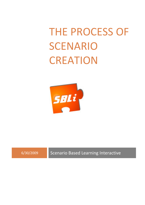# THE PROCESS OF SCENARIO **CREATION**



6/30/2009 Scenario Based Learning Interactive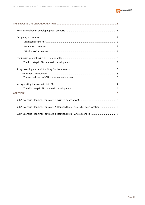

| SBLi® Scenario Planning: Template 2 (Itemised list of assets for each location)  5 |
|------------------------------------------------------------------------------------|
|                                                                                    |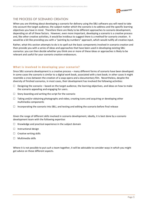

# THE PROCESS OF SCENARIO CREATION

When you are thinking about developing a scenario for delivery using the SBLi software you will need to take into account the target audience, the subject matter which the scenario is to address and the specific learning objectives you have in mind. Therefore there are likely to be different approaches to scenario development, depending on all of these factors. However, even more important, developing a scenario is a creative process and, like other creative activities, it would be invidious to suggest there is a method for scenario creation. It would be a bit like providing you with a "painting by numbers" approach, which would nullify all creative input.

Rather, what this section attempts to do is to spell out the basic components involved in scenario creation and then provide you with a series of ideas and approaches that have been used in developing existing SBLi scenarios: you can then decide whether you think one or more of these ideas or approaches is likely to be relevant and useful for your scenario creation endeavours.

# **What is involved in developing your scenario?**

Since SBLi scenario development is a creative process – many different forms of scenario have been developed. In some cases the scenario is similar to a digital work book, associated with a text book; in other cases it might resemble a cross between the creation of a soap opera and a documentary film. Nevertheless, despite the diversity of finished scenarios, in most cases, their development has involved the following activities:

- $\Box$  Designing the scenario based on the target audience, the learning objectives, and ideas on how to make the scenario appealing and engaging for users.
- $\Box$  Story-boarding and writing the script for the scenario
- $\Box$  Taking and/or obtaining photographs and video, creating icons and acquiring or developing other multimedia components
- $\Box$  Incorporating the scenario into SBLi, and testing and editing the scenario before final release

Given the range of different skills involved in scenario development, ideally, it is best done by a scenario development team with the following expertise:

- $\Box$  Knowledge and practical experience in the subject domain
- $\Box$  Instructional design
- $\Box$  Creative writing skills
- $\Box$  Multimedia skills

Where it is not possible to put such a team together, it will be advisable to consider ways in which you might get advice on these different aspects.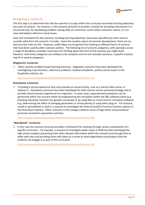

# **Designing a scenario**

The first step is to determine the role the scenario is to play within the curriculum and what learning objectives you want to achieve. For instance, is the scenario primarily to provide a vehicle for providing information in a structured way, for developing problem solving skills of a technical, social and/or economic nature, or is to raise and explore ethical or moral issues.

Once the framework for the scenario, including learning objectives, have been specified you then need to consider what form the scenario is to take. Given the creative nature of scenario development, there are no hard and fast rules on this. However, useful ideas can be gained from looking at different forms of scenario that have been used by other scenario authors. The following list of scenario categories, with examples across a range of disciplines, provides some basis for thinking about the form of the scenario you might build. However, note these categories are unlikely to be complete and are not mutually exclusive; a specific scenario may fit in several categories.

# *Diagnostic scenarios*

 $\Box$  Often used for problem based learning exercises. Diagnostic scenarios have been developed for investigating crop disorders, veterinary problems, medical complaints, quality control issues in the hospitality industry; etc.

http://scenarios.sblinteractive.org/v2/main/StartScenario.aspx?Scenario=212

# *Simulation scenarios*

 $\Box$  Providing a virtual experience that may precede an actual activity, such as a marine field course, or replaces it. Simulation scenarios have been developed for field courses marine and pond ecology and to provide virtual overseas experiences for engineers. In some cases, experimental procedures can be performed within the scenario either by programming the simulation within the SBLi software alone (e.g. breeding chocolate monsters for genetics practicals) or by using SBLi as a front‐end for simulation software (e.g. determining the effect of changing parameters in virtual plants) or using other plug‐ins. For instance, a built‐in spreadsheet is used in a scenario to investigate the financial profile of various business options in the floriculture industry. Other scenarios in this category address issues of legal ethics and procedural processes involved in quarantine activities.

http://scenarios.sblinteractive.org/v2/main/StartScenario.aspx?Scenario=208

# *"Workbook" scenarios*

 $\Box$  In this case the scenario structure provides a framework for working through various components of a specific curriculum. For example, a scenario to investigate water issues in NSW has been developed for high school students presenting them with relevant information within the scenario and through links to other web sites and providing them with ideas on a series of small experiments and projects that the students can engage in as part of the curriculum.

http://scenarios.sblinteractive.org/v2/main/StartScenario.aspx?Scenario=185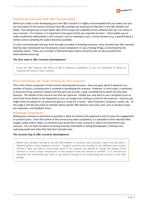

# **Familiarise yourself with SBLi functionality**

Before you make a start developing your own SBLi scenario it is highly recommended that you make sure you are fully aware of the various functions that SBLi provides by studying the Help files in the SBLi Builder and Player. This will give you a much better idea of the scope and capability of the software that you can utilise in your scenario. For instance, it is important to be aware of the pre‐requisite function – that enables you to make conditional relationships in the scenario, such as needing to visit a certain location (e.g. a pond) before a certain action (sampling the water) becomes available.

It is also recommended that you work through a number of existing scenarios, since virtually each SBLi scenario that has been developed has introduced a novel component or way of doing things, as illustrated by the examples above. There are a number of demonstration online scenarios that can be accessed from www.sblinteractive.org.

# *The first step in SBLi scenario development*

Know the SBLi software. Be aware of SBLi's extensive capabilities so you can maximize its ability to replicate the needs of your scenario.

# **Story boarding and script writing for the scenario**

This is the critical component of the scenario development process. How one goes about it depends on a number of factors, including who is involved in developing the scenario. However, in most cases, a workshop to brainstorm the scenario is likely to be the best way to start, using a whiteboard to sketch out the main features. The details of the scenario can then be captured. Initially you may wish to use a template (such as one of the three shown in the Appendix) or you can simply start writing a script for the scenario – much as you might write an outline for an adventure game or script for a movie – with characters, locations, scenes, etc. At this stage it will also be useful to indicate where specific SBLi features are to be used, such as location maps, pre‐requisites, and feedback forms.

# **Multimedia components**

Making your scenario as attractive as possible is likely to enhance the experience and increase the engagement of scenario users. Once the outline of the scenario has been completed, it is advisable to then identify what images, audio and/or video, or animation you would like in your scenario or which are essential to your scenario. You can then set about accessing existing multimedia or taking photographs, creating icons, capturing audio and video files that don't already exist.

# *The second step in SBLi scenario development*

Before you consider starting to use the SBLi Builder to construct your scenario, make sure you have a detailed outline of the complete scenario. Trying to construct the scenario in the software from scratch without a plan can lead to unnecessary work if, for instance, you decide to change the design of the scenario or move certain components of the scenario from one section to another. It is also best to assemble the multimedia you wish to use before moving on to constructing the scenario in the SBLi Builder.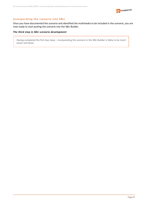

# **Incorporating the scenario into SBLi**

Once you have documented the scenario and identified the multimedia to be included in the scenario, you are now ready to start putting the scenario into the SBLi Builder.

### *The third step in SBLi scenario development*

Having completed the first two steps – incorporating the scenario in the SBLi Builder is likely to be much easier and faster.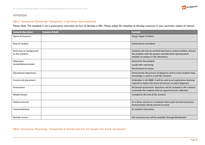

# APPENDIX

# **SBLi® Scenario Planning: Template 1 (written description)**

*Please Note: This template is not a prescriptive instruction on how to develop a SBLi. Please adapt this template to develop resources in your particular subject of interest.* 

| <b>Scenario Descriptor</b>                   | <b>Scenario Details</b> | <b>Example</b>                                                                                                                                                          |
|----------------------------------------------|-------------------------|-------------------------------------------------------------------------------------------------------------------------------------------------------------------------|
| Name of Scenario                             |                         | Doug's Apple Problem                                                                                                                                                    |
| Role of student                              |                         | Horticultural consultant                                                                                                                                                |
| Brief story or background<br>to the scenario |                         | Students will visit an orchard and assess a plant problem, discuss<br>the problem with the grower and take back infected plant<br>samples to analyse in the laboratory. |
| Objectives                                   |                         | Determine the problem                                                                                                                                                   |
| tested/demonstrated                          |                         | Justify their reasoning                                                                                                                                                 |
|                                              |                         | Recommend an action                                                                                                                                                     |
| Educational objective/s                      |                         | Demonstrate the process of diagnosis and to show students how<br>knowledge is used in a real-life situation                                                             |
| Course and placement                         |                         | Embedded in AG ####. It will be used as an exploratory learning<br>experience before the series of lectures on plant diagnosis.                                         |
| Assessment                                   |                         | No formal assessment. Questions will be included in the scenario<br>to provide the students with an opportunity for reflection.                                         |
| <b>Model Answer</b>                          |                         | Included at the end of the scenario                                                                                                                                     |
| Delivery format                              |                         | As a 2hour session in a computer lab as part of tutorial process.<br>Demonstrator will be present to assist.                                                            |
| Team/individual                              |                         | At student's discretion.                                                                                                                                                |
| Remote access                                |                         | Not necessary but will be available through Blackboard                                                                                                                  |

# **SBLi® Scenario Planning: Template 2 (Itemised list <sup>o</sup> f assets for each location)**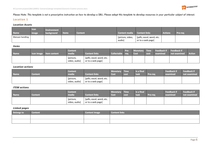

*Please Note: This template is not a prescriptive instruction on how to develop a SBLi. Please adapt this template to develop resources in your particular subject of interest.* 

# **Location 1**

#### *Location Assets*

| <b>Name</b>     | <b>Icon</b><br>image | <b>Environment</b><br>background | <b>Items</b> | <b>Content</b> | Content media Content links |                                               | <b>Actions</b> | <b>Pre-req</b> |
|-----------------|----------------------|----------------------------------|--------------|----------------|-----------------------------|-----------------------------------------------|----------------|----------------|
| Manuan handling |                      |                                  |              |                | [picture, video,<br>audiol  | [pdfs; excel; word; etc.<br>or to a web page] |                |                |

#### *Items*

| <b>Name</b> | <b>Icon image Item content</b> | <b>Content</b><br>media    | <b>Content links</b>                          | Collectable req | Pre- | <b>Cost</b> | cost | Monetary Time Feedback if Feedback if<br>examined | not examined | <b>Action</b> |
|-------------|--------------------------------|----------------------------|-----------------------------------------------|-----------------|------|-------------|------|---------------------------------------------------|--------------|---------------|
|             |                                | [picture,<br>video, audio] | [pdfs; excel; word; etc.<br>or to a web page] |                 |      |             |      |                                                   |              |               |

#### *Location actions*

| <b>Name</b> | <b>Content</b> | <b>Content</b><br>media    | <b>Content links</b>                          | <b>Monetary Time</b><br><b>Cost</b> | cost | Is a final<br>task | <b>Pre-req</b> | <b>Feedback if</b><br>examined | Feedback if<br>not examined |
|-------------|----------------|----------------------------|-----------------------------------------------|-------------------------------------|------|--------------------|----------------|--------------------------------|-----------------------------|
|             |                | [picture,<br>video, audio] | [pdfs; excel; word; etc.<br>or to a web page] |                                     |      |                    |                |                                |                             |

#### *ITEM actions*

| <b>Name</b> | Content | <b>Content</b><br>media    | <b>Content links</b>                          | <b>Monetary Time</b><br>Cost | <b>cost</b> | Is a final<br>task | <b>Pre-reg</b> | <b>Feedback if</b><br>examined | <b>Feedback if</b><br>not examined |
|-------------|---------|----------------------------|-----------------------------------------------|------------------------------|-------------|--------------------|----------------|--------------------------------|------------------------------------|
|             |         | [picture,<br>video, audio] | [pdfs; excel; word; etc.<br>or to a web page] |                              |             |                    |                |                                |                                    |

#### *Linked pages*

| <b>Belongs to</b> | <b>Content</b> | <b>Content image</b> | <b>Content links</b> |
|-------------------|----------------|----------------------|----------------------|
|                   |                |                      |                      |
|                   |                |                      |                      |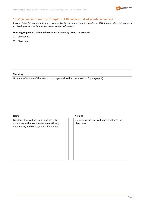

# **SBLi® Scenario Planning: Template 3 (Itemised list o f whole scenario)**

*Please Note: This template is not a prescriptive instruction on how to develop a SBLi. Please adapt this template to develop resources in your particular subject of interest.* 

### **Learning objectives: What will students achieve by doing the scenario?**

| $\Box$ Objective 1 |  |
|--------------------|--|
| $\Box$ Objective 2 |  |
|                    |  |
|                    |  |
|                    |  |
|                    |  |

#### **The story**

Give a brief outline of the 'story' or background to the scenario (1 or 2 paragraphs).

List items that will be used to achieve the objectives and make the story realistic e.g. documents, audio clips, collectible objects

# **Items Actions**

List actions the user will take to achieve the objectives.